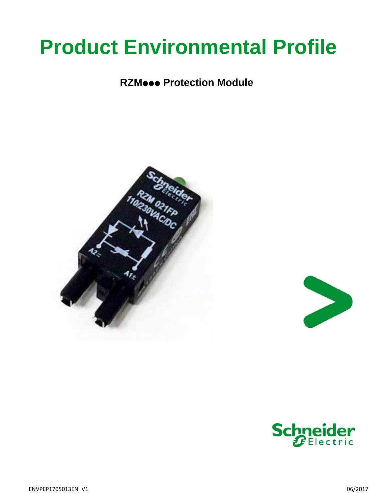# **Product Environmental Profile**

### **RZMooo Protection Module**





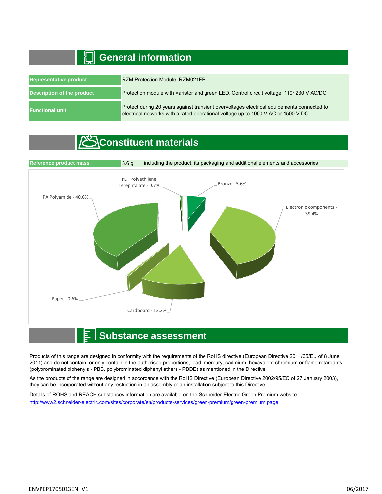## **General information**

| <b>Representative product</b> | RZM Protection Module -RZM021FP                                                                                                                                                 |
|-------------------------------|---------------------------------------------------------------------------------------------------------------------------------------------------------------------------------|
| Description of the product    | Protection module with Varistor and green LED, Control circuit voltage: 110~230 V AC/DC                                                                                         |
| <b>Functional unit</b>        | Protect during 20 years against transient overvoltages electrical equipements connected to<br>electrical networks with a rated operational voltage up to 1000 V AC or 1500 V DC |

## **Constituent materials**



#### **Substance assessment**

Products of this range are designed in conformity with the requirements of the RoHS directive (European Directive 2011/65/EU of 8 June 2011) and do not contain, or only contain in the authorised proportions, lead, mercury, cadmium, hexavalent chromium or flame retardants (polybrominated biphenyls - PBB, polybrominated diphenyl ethers - PBDE) as mentioned in the Directive

As the products of the range are designed in accordance with the RoHS Directive (European Directive 2002/95/EC of 27 January 2003), they can be incorporated without any restriction in an assembly or an installation subject to this Directive.

Details of ROHS and REACH substances information are available on the Schneider-Electric Green Premium website http://www2.schneider-electric.com/sites/corporate/en/products-services/green-premium/green-premium.page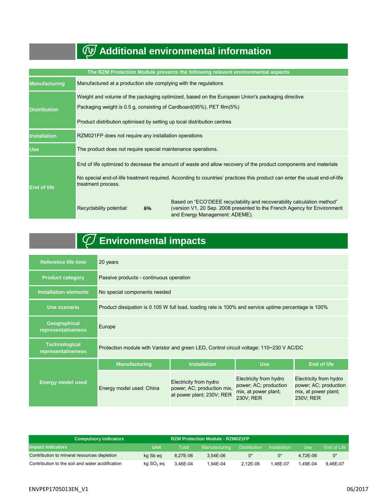# **Additional environmental information**

| The RZM Protection Module presents the following relevent environmental aspects |                                                                                                                                                                                                                                                                     |                                                                                                                                                                                       |  |  |  |  |  |  |
|---------------------------------------------------------------------------------|---------------------------------------------------------------------------------------------------------------------------------------------------------------------------------------------------------------------------------------------------------------------|---------------------------------------------------------------------------------------------------------------------------------------------------------------------------------------|--|--|--|--|--|--|
| <b>Manufacturing</b>                                                            | Manufactured at a production site complying with the regulations                                                                                                                                                                                                    |                                                                                                                                                                                       |  |  |  |  |  |  |
| <b>Distribution</b>                                                             | Weight and volume of the packaging optimized, based on the European Union's packaging directive<br>Packaging weight is 0.5 g, consisting of Cardboard(95%), PET film(5%)<br>Product distribution optimised by setting up local distribution centres                 |                                                                                                                                                                                       |  |  |  |  |  |  |
| <b>Installation</b>                                                             | RZM021FP does not require any installation operations                                                                                                                                                                                                               |                                                                                                                                                                                       |  |  |  |  |  |  |
| <b>Use</b>                                                                      | The product does not require special maintenance operations.                                                                                                                                                                                                        |                                                                                                                                                                                       |  |  |  |  |  |  |
| <b>End of life</b>                                                              | End of life optimized to decrease the amount of waste and allow recovery of the product components and materials<br>No special end-of-life treatment required. According to countries' practices this product can enter the usual end-of-life<br>treatment process. |                                                                                                                                                                                       |  |  |  |  |  |  |
|                                                                                 | Recyclability potential:<br>6%                                                                                                                                                                                                                                      | Based on "ECO'DEEE recyclability and recoverability calculation method"<br>(version V1, 20 Sep. 2008 presented to the French Agency for Environment<br>and Energy Management: ADEME). |  |  |  |  |  |  |

# **Environmental impacts**

| <b>Reference life time</b>                 | 20 years                                                                                             |                                                                                   |                                                                                      |                                                                                      |  |  |  |  |
|--------------------------------------------|------------------------------------------------------------------------------------------------------|-----------------------------------------------------------------------------------|--------------------------------------------------------------------------------------|--------------------------------------------------------------------------------------|--|--|--|--|
| <b>Product category</b>                    | Passive products - continuous operation                                                              |                                                                                   |                                                                                      |                                                                                      |  |  |  |  |
| <b>Installation elements</b>               | No special components needed                                                                         |                                                                                   |                                                                                      |                                                                                      |  |  |  |  |
| Use scenario                               | Product dissipation is 0.105 W full load, loading rate is 100% and service uptime percentage is 100% |                                                                                   |                                                                                      |                                                                                      |  |  |  |  |
| Geographical<br>representativeness         | Europe                                                                                               |                                                                                   |                                                                                      |                                                                                      |  |  |  |  |
| <b>Technological</b><br>representativeness | Protection module with Varistor and green LED, Control circuit voltage: 110~230 V AC/DC              |                                                                                   |                                                                                      |                                                                                      |  |  |  |  |
|                                            | <b>Use</b><br><b>End of life</b><br><b>Manufacturing</b><br><b>Installation</b>                      |                                                                                   |                                                                                      |                                                                                      |  |  |  |  |
| <b>Energy model used</b>                   | Energy model used: China                                                                             | Electricity from hydro<br>power; AC; production mix,<br>at power plant; 230V; RER | Electricity from hydro<br>power; AC; production<br>mix, at power plant;<br>230V; RER | Electricity from hydro<br>power; AC; production<br>mix, at power plant;<br>230V; RER |  |  |  |  |

| Compulsory indicators                            | <b>RZM Protection Module - RZM021FP</b> |          |               |              |                     |          |             |
|--------------------------------------------------|-----------------------------------------|----------|---------------|--------------|---------------------|----------|-------------|
| <b>Impact indicators</b>                         | Unit                                    | Total    | Manufacturing | Distribution | <b>Installation</b> | Use      | End of Life |
| Contribution to mineral resources depletion      | ka Sb ea                                | 8.27E-06 | $3.54E-06$    | $0^*$        |                     | 4.72E-06 | $0^*$       |
| Contribution to the soil and water acidification | kg SO <sub>2</sub> eg                   | 3.46E-04 | 1.94E-04      | 2.12E-06     | 1.48E-07            | 1.49E-04 | 9.46E-07    |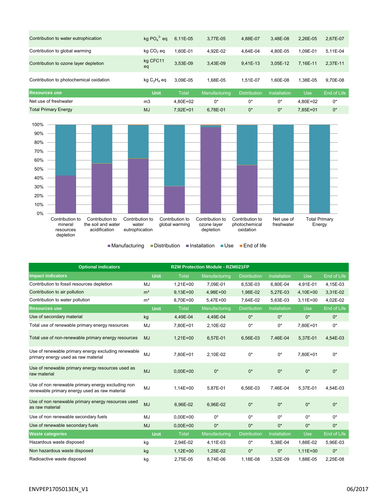| Contribution to water eutrophication    | kg $POA3-$ eg         | 6,11E-05     | 3.77E-05             | 4.88E-07            | 3.48E-08            | 2.26E-05   | 2,67E-07    |
|-----------------------------------------|-----------------------|--------------|----------------------|---------------------|---------------------|------------|-------------|
| Contribution to global warming          | kg CO <sub>2</sub> eq | 1.60E-01     | 4.92E-02             | 4.64E-04            | 4.80E-05            | 1.09E-01   | 5.11E-04    |
| Contribution to ozone layer depletion   | kg CFC11<br>eq        | 3,53E-09     | 3.43E-09             | 9.41E-13            | 3.05E-12            | 7.16E-11   | 2.37E-11    |
| Contribution to photochemical oxidation | $kg C2H4$ eq          | 3.09E-05     | 1.68E-05             | 1.51E-07            | 1.60E-08            | 1.38E-05   | 9,70E-08    |
| <b>Resources use</b>                    | <b>Unit</b>           | <b>Total</b> | <b>Manufacturing</b> | <b>Distribution</b> | <b>Installation</b> | <b>Use</b> | End of Life |
| Net use of freshwater                   | m <sub>3</sub>        | 4.80E+02     | $0^*$                | 0*                  | 0*                  | 4.80E+02   | $0^*$       |
| <b>Total Primary Energy</b>             | <b>MJ</b>             | 7.92E+01     | 6.78E-01             | $0^*$               | $0^*$               | 7,85E+01   | $0^*$       |



■ Manufacturing ■ Distribution ■ Installation ■ Use ■ End of life

| <b>Optional indicators</b>                                                                         | <b>RZM Protection Module - RZM021FP</b> |              |               |                     |                     |            |             |
|----------------------------------------------------------------------------------------------------|-----------------------------------------|--------------|---------------|---------------------|---------------------|------------|-------------|
| <b>Impact indicators</b>                                                                           | <b>Unit</b>                             | <b>Total</b> | Manufacturing | <b>Distribution</b> | <b>Installation</b> | <b>Use</b> | End of Life |
| Contribution to fossil resources depletion                                                         | MJ                                      | $1.21E + 00$ | 7,09E-01      | 6,53E-03            | 6,80E-04            | 4,91E-01   | 4,15E-03    |
| Contribution to air pollution                                                                      | m <sup>3</sup>                          | $9,13E+00$   | 4,98E+00      | 1,98E-02            | 5,27E-03            | 4,10E+00   | 3,31E-02    |
| Contribution to water pollution                                                                    | m <sup>3</sup>                          | 8.70E+00     | $5.47E + 00$  | 7.64E-02            | 5.63E-03            | $3,11E+00$ | 4,02E-02    |
| <b>Resources use</b>                                                                               | <b>Unit</b>                             | <b>Total</b> | Manufacturing | <b>Distribution</b> | Installation        | <b>Use</b> | End of Life |
| Use of secondary material                                                                          | kg                                      | 4,49E-04     | 4,49E-04      | $0^*$               | $0^*$               | $0^*$      | $0^*$       |
| Total use of renewable primary energy resources                                                    | MJ                                      | 7.80E+01     | 2,10E-02      | $0^*$               | 0*                  | 7.80E+01   | $0^*$       |
| Total use of non-renewable primary energy resources                                                | <b>MJ</b>                               | $1,21E+00$   | 6,57E-01      | 6,56E-03            | 7,46E-04            | 5,37E-01   | 4,54E-03    |
| Use of renewable primary energy excluding renewable<br>primary energy used as raw material         | MJ                                      | 7.80E+01     | 2.10E-02      | $0^*$               | 0*                  | 7.80E+01   | $0^*$       |
| Use of renewable primary energy resources used as<br>raw material                                  | <b>MJ</b>                               | $0,00E+00$   | $0^*$         | $0^*$               | $0^*$               | $0^*$      | $0^*$       |
| Use of non renewable primary energy excluding non<br>renewable primary energy used as raw material | MJ                                      | 1,14E+00     | 5,87E-01      | 6.56E-03            | 7.46E-04            | 5.37E-01   | 4,54E-03    |
| Use of non renewable primary energy resources used<br>as raw material                              | <b>MJ</b>                               | 6.96E-02     | 6.96E-02      | $0^*$               | $0^*$               | $0^*$      | $0^*$       |
| Use of non renewable secondary fuels                                                               | MJ                                      | $0.00E + 00$ | $0^*$         | $0^*$               | $0^*$               | $0^*$      | $0^*$       |
| Use of renewable secondary fuels                                                                   | <b>MJ</b>                               | $0.00E + 00$ | $0^*$         | $0^*$               | $0^*$               | $0^*$      | $0^*$       |
| <b>Waste categories</b>                                                                            | Unit                                    | <b>Total</b> | Manufacturing | <b>Distribution</b> | <b>Installation</b> | <b>Use</b> | End of Life |
| Hazardous waste disposed                                                                           | kg                                      | 2,94E-02     | 4,11E-03      | $0^*$               | 5,38E-04            | 1,88E-02   | 5,96E-03    |
| Non hazardous waste disposed                                                                       | kg                                      | $1,12E+00$   | 1,25E-02      | $0^*$               | $0^*$               | $1,11E+00$ | $0^*$       |
| Radioactive waste disposed                                                                         | kg                                      | 2,75E-05     | 8,74E-06      | 1,18E-08            | 3,52E-09            | 1,88E-05   | 2,25E-08    |